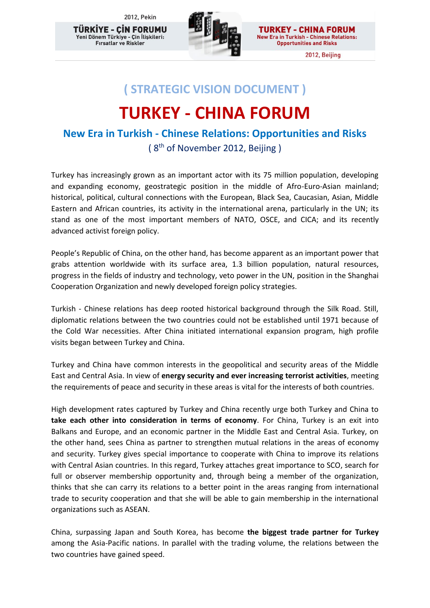2012, Pekin

TÜRKİYE - CİN FORUMU .<br>Yeni Dönem Türkiye - Çin İlişkileri: Firsatlar ve Riskler



**TURKEY - CHINA FORUM New Era in Turkish - Chinese Relations: Opportunities and Risks** 

2012, Beijing

## **( STRATEGIC VISION DOCUMENT )**

# **TURKEY - CHINA FORUM**

### **New Era in Turkish - Chinese Relations: Opportunities and Risks**  (8<sup>th</sup> of November 2012, Beijing)

Turkey has increasingly grown as an important actor with its 75 million population, developing and expanding economy, geostrategic position in the middle of Afro-Euro-Asian mainland; historical, political, cultural connections with the European, Black Sea, Caucasian, Asian, Middle Eastern and African countries, its activity in the international arena, particularly in the UN; its stand as one of the most important members of NATO, OSCE, and CICA; and its recently advanced activist foreign policy.

People's Republic of China, on the other hand, has become apparent as an important power that grabs attention worldwide with its surface area, 1.3 billion population, natural resources, progress in the fields of industry and technology, veto power in the UN, position in the Shanghai Cooperation Organization and newly developed foreign policy strategies.

Turkish - Chinese relations has deep rooted historical background through the Silk Road. Still, diplomatic relations between the two countries could not be established until 1971 because of the Cold War necessities. After China initiated international expansion program, high profile visits began between Turkey and China.

Turkey and China have common interests in the geopolitical and security areas of the Middle East and Central Asia. In view of **energy security and ever increasing terrorist activities**, meeting the requirements of peace and security in these areas is vital for the interests of both countries.

High development rates captured by Turkey and China recently urge both Turkey and China to **take each other into consideration in terms of economy**. For China, Turkey is an exit into Balkans and Europe, and an economic partner in the Middle East and Central Asia. Turkey, on the other hand, sees China as partner to strengthen mutual relations in the areas of economy and security. Turkey gives special importance to cooperate with China to improve its relations with Central Asian countries. In this regard, Turkey attaches great importance to SCO, search for full or observer membership opportunity and, through being a member of the organization, thinks that she can carry its relations to a better point in the areas ranging from international trade to security cooperation and that she will be able to gain membership in the international organizations such as ASEAN.

China, surpassing Japan and South Korea, has become **the biggest trade partner for Turkey**  among the Asia-Pacific nations. In parallel with the trading volume, the relations between the two countries have gained speed.